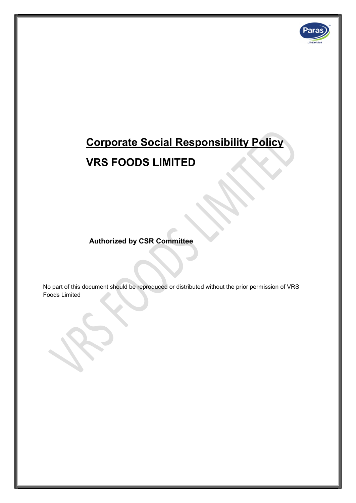

# Corporate Social Responsibility Policy

## VRS FOODS LIMITED

Authorized by CSR Committee

No part of this document should be reproduced or distributed without the prior permission of VRS Foods Limited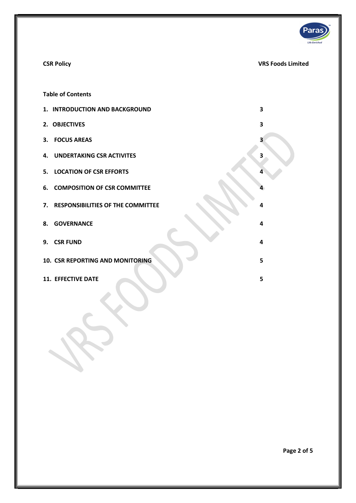

### CSR Policy VRS Foods Limited

Table of Contents

| 1. INTRODUCTION AND BACKGROUND          | 3 |
|-----------------------------------------|---|
| 2. OBJECTIVES                           | 3 |
| 3. FOCUS AREAS                          | 3 |
| 4. UNDERTAKING CSR ACTIVITES            | 3 |
| 5. LOCATION OF CSR EFFORTS              |   |
| <b>6. COMPOSITION OF CSR COMMITTEE</b>  |   |
| 7. RESPONSIBILITIES OF THE COMMITTEE    | 4 |
| 8. GOVERNANCE                           | 4 |
| 9. CSR FUND                             | 4 |
| <b>10. CSR REPORTING AND MONITORING</b> | 5 |
| <b>11. EFFECTIVE DATE</b>               | 5 |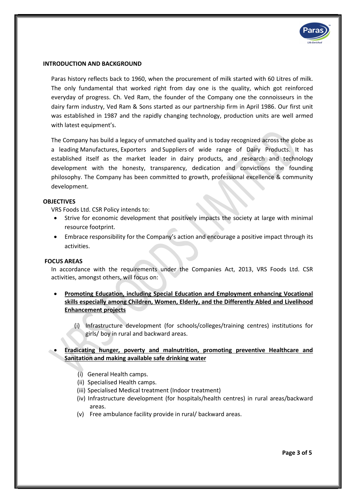

#### INTRODUCTION AND BACKGROUND

Paras history reflects back to 1960, when the procurement of milk started with 60 Litres of milk. The only fundamental that worked right from day one is the quality, which got reinforced everyday of progress. Ch. Ved Ram, the founder of the Company one the connoisseurs in the dairy farm industry, Ved Ram & Sons started as our partnership firm in April 1986. Our first unit was established in 1987 and the rapidly changing technology, production units are well armed with latest equipment's.

The Company has build a legacy of unmatched quality and is today recognized across the globe as a leading Manufactures, Exporters and Suppliers of wide range of Dairy Products. It has established itself as the market leader in dairy products, and research and technology development with the honesty, transparency, dedication and convictions the founding philosophy. The Company has been committed to growth, professional excellence & community development.

#### **OBJECTIVES**

VRS Foods Ltd. CSR Policy intends to:

- Strive for economic development that positively impacts the society at large with minimal resource footprint.
- Embrace responsibility for the Company's action and encourage a positive impact through its activities.

#### FOCUS AREAS

In accordance with the requirements under the Companies Act, 2013, VRS Foods Ltd. CSR activities, amongst others, will focus on:

- Promoting Education, including Special Education and Employment enhancing Vocational skills especially among Children, Women, Elderly, and the Differently Abled and Livelihood Enhancement projects
	- (i) Infrastructure development (for schools/colleges/training centres) institutions for girls/ boy in rural and backward areas.

#### Eradicating hunger, poverty and malnutrition, promoting preventive Healthcare and Sanitation and making available safe drinking water

- (i) General Health camps.
- (ii) Specialised Health camps.
- (iii) Specialised Medical treatment (Indoor treatment)
- (iv) Infrastructure development (for hospitals/health centres) in rural areas/backward areas.
- (v) Free ambulance facility provide in rural/ backward areas.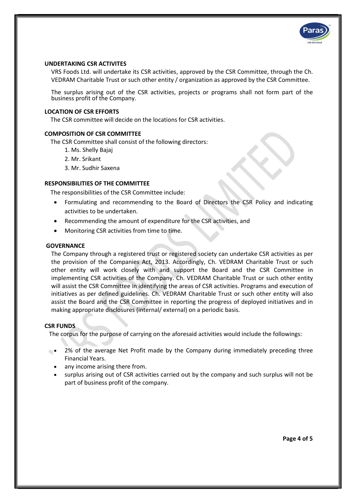

#### UNDERTAKING CSR ACTIVITES

VRS Foods Ltd. will undertake its CSR activities, approved by the CSR Committee, through the Ch. VEDRAM Charitable Trust or such other entity / organization as approved by the CSR Committee.

The surplus arising out of the CSR activities, projects or programs shall not form part of the business profit of the Company.

#### LOCATION OF CSR EFFORTS

The CSR committee will decide on the locations for CSR activities.

#### COMPOSITION OF CSR COMMITTEE

The CSR Committee shall consist of the following directors:

- 1. Ms. Shelly Bajaj
- 2. Mr. Srikant
- 3. Mr. Sudhir Saxena

#### RESPONSIBILITIES OF THE COMMITTEE

The responsibilities of the CSR Committee include:

- Formulating and recommending to the Board of Directors the CSR Policy and indicating activities to be undertaken.
- Recommending the amount of expenditure for the CSR activities, and
- Monitoring CSR activities from time to time.

#### **GOVERNANCE**

The Company through a registered trust or registered society can undertake CSR activities as per the provision of the Companies Act, 2013. Accordingly, Ch. VEDRAM Charitable Trust or such other entity will work closely with and support the Board and the CSR Committee in implementing CSR activities of the Company. Ch. VEDRAM Charitable Trust or such other entity will assist the CSR Committee in identifying the areas of CSR activities. Programs and execution of initiatives as per defined guidelines. Ch. VEDRAM Charitable Trust or such other entity will also assist the Board and the CSR Committee in reporting the progress of deployed initiatives and in making appropriate disclosures (internal/ external) on a periodic basis.

#### CSR FUNDS

The corpus for the purpose of carrying on the aforesaid activities would include the followings:

- 2% of the average Net Profit made by the Company during immediately preceding three Financial Years.
	- any income arising there from.
	- surplus arising out of CSR activities carried out by the company and such surplus will not be part of business profit of the company.